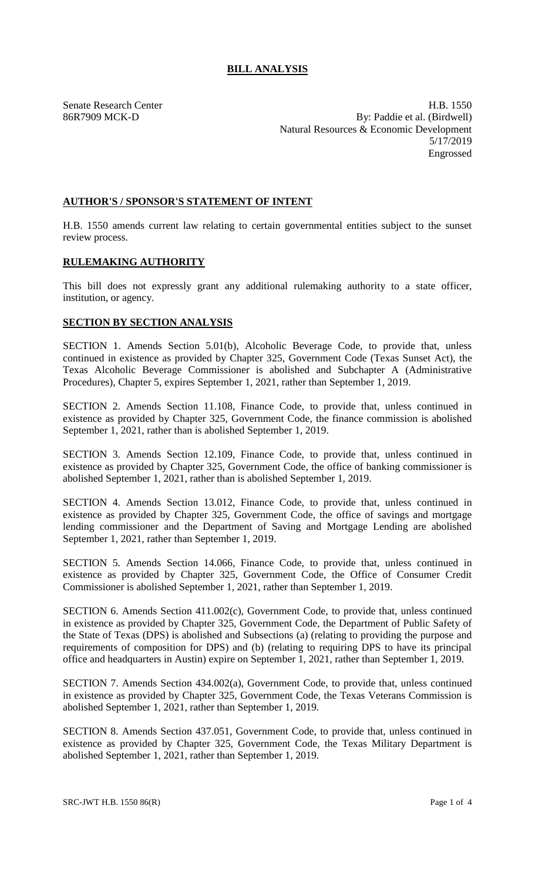Senate Research Center **H.B. 1550** 86R7909 MCK-D By: Paddie et al. (Birdwell) Natural Resources & Economic Development 5/17/2019 Engrossed

## **AUTHOR'S / SPONSOR'S STATEMENT OF INTENT**

H.B. 1550 amends current law relating to certain governmental entities subject to the sunset review process.

## **RULEMAKING AUTHORITY**

This bill does not expressly grant any additional rulemaking authority to a state officer, institution, or agency.

## **SECTION BY SECTION ANALYSIS**

SECTION 1. Amends Section 5.01(b), Alcoholic Beverage Code, to provide that, unless continued in existence as provided by Chapter 325, Government Code (Texas Sunset Act), the Texas Alcoholic Beverage Commissioner is abolished and Subchapter A (Administrative Procedures), Chapter 5, expires September 1, 2021, rather than September 1, 2019.

SECTION 2. Amends Section 11.108, Finance Code, to provide that, unless continued in existence as provided by Chapter 325, Government Code, the finance commission is abolished September 1, 2021, rather than is abolished September 1, 2019.

SECTION 3. Amends Section 12.109, Finance Code, to provide that, unless continued in existence as provided by Chapter 325, Government Code, the office of banking commissioner is abolished September 1, 2021, rather than is abolished September 1, 2019.

SECTION 4. Amends Section 13.012, Finance Code, to provide that, unless continued in existence as provided by Chapter 325, Government Code, the office of savings and mortgage lending commissioner and the Department of Saving and Mortgage Lending are abolished September 1, 2021, rather than September 1, 2019.

SECTION 5. Amends Section 14.066, Finance Code, to provide that, unless continued in existence as provided by Chapter 325, Government Code, the Office of Consumer Credit Commissioner is abolished September 1, 2021, rather than September 1, 2019.

SECTION 6. Amends Section 411.002(c), Government Code, to provide that, unless continued in existence as provided by Chapter 325, Government Code, the Department of Public Safety of the State of Texas (DPS) is abolished and Subsections (a) (relating to providing the purpose and requirements of composition for DPS) and (b) (relating to requiring DPS to have its principal office and headquarters in Austin) expire on September 1, 2021, rather than September 1, 2019.

SECTION 7. Amends Section 434.002(a), Government Code, to provide that, unless continued in existence as provided by Chapter 325, Government Code, the Texas Veterans Commission is abolished September 1, 2021, rather than September 1, 2019.

SECTION 8. Amends Section 437.051, Government Code, to provide that, unless continued in existence as provided by Chapter 325, Government Code, the Texas Military Department is abolished September 1, 2021, rather than September 1, 2019.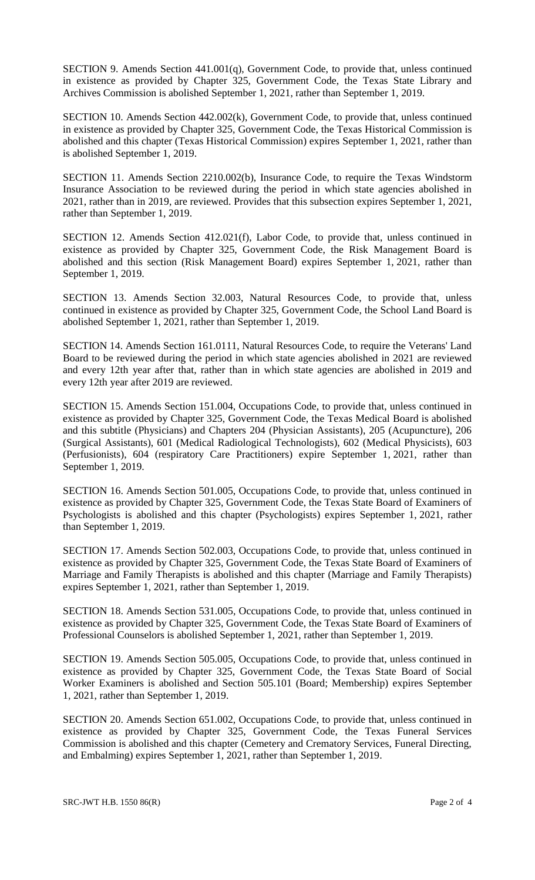SECTION 9. Amends Section 441.001(q), Government Code, to provide that, unless continued in existence as provided by Chapter 325, Government Code, the Texas State Library and Archives Commission is abolished September 1, 2021, rather than September 1, 2019.

SECTION 10. Amends Section 442.002(k), Government Code, to provide that, unless continued in existence as provided by Chapter 325, Government Code, the Texas Historical Commission is abolished and this chapter (Texas Historical Commission) expires September 1, 2021, rather than is abolished September 1, 2019.

SECTION 11. Amends Section 2210.002(b), Insurance Code, to require the Texas Windstorm Insurance Association to be reviewed during the period in which state agencies abolished in 2021, rather than in 2019, are reviewed. Provides that this subsection expires September 1, 2021, rather than September 1, 2019.

SECTION 12. Amends Section 412.021(f), Labor Code, to provide that, unless continued in existence as provided by Chapter 325, Government Code, the Risk Management Board is abolished and this section (Risk Management Board) expires September 1, 2021, rather than September 1, 2019.

SECTION 13. Amends Section 32.003, Natural Resources Code, to provide that, unless continued in existence as provided by Chapter 325, Government Code, the School Land Board is abolished September 1, 2021, rather than September 1, 2019.

SECTION 14. Amends Section 161.0111, Natural Resources Code, to require the Veterans' Land Board to be reviewed during the period in which state agencies abolished in 2021 are reviewed and every 12th year after that, rather than in which state agencies are abolished in 2019 and every 12th year after 2019 are reviewed.

SECTION 15. Amends Section 151.004, Occupations Code, to provide that, unless continued in existence as provided by Chapter 325, Government Code, the Texas Medical Board is abolished and this subtitle (Physicians) and Chapters 204 (Physician Assistants), 205 (Acupuncture), 206 (Surgical Assistants), 601 (Medical Radiological Technologists), 602 (Medical Physicists), 603 (Perfusionists), 604 (respiratory Care Practitioners) expire September 1, 2021, rather than September 1, 2019.

SECTION 16. Amends Section 501.005, Occupations Code, to provide that, unless continued in existence as provided by Chapter 325, Government Code, the Texas State Board of Examiners of Psychologists is abolished and this chapter (Psychologists) expires September 1, 2021, rather than September 1, 2019.

SECTION 17. Amends Section 502.003, Occupations Code, to provide that, unless continued in existence as provided by Chapter 325, Government Code, the Texas State Board of Examiners of Marriage and Family Therapists is abolished and this chapter (Marriage and Family Therapists) expires September 1, 2021, rather than September 1, 2019.

SECTION 18. Amends Section 531.005, Occupations Code, to provide that, unless continued in existence as provided by Chapter 325, Government Code, the Texas State Board of Examiners of Professional Counselors is abolished September 1, 2021, rather than September 1, 2019.

SECTION 19. Amends Section 505.005, Occupations Code, to provide that, unless continued in existence as provided by Chapter 325, Government Code, the Texas State Board of Social Worker Examiners is abolished and Section 505.101 (Board; Membership) expires September 1, 2021, rather than September 1, 2019.

SECTION 20. Amends Section 651.002, Occupations Code, to provide that, unless continued in existence as provided by Chapter 325, Government Code, the Texas Funeral Services Commission is abolished and this chapter (Cemetery and Crematory Services, Funeral Directing, and Embalming) expires September 1, 2021, rather than September 1, 2019.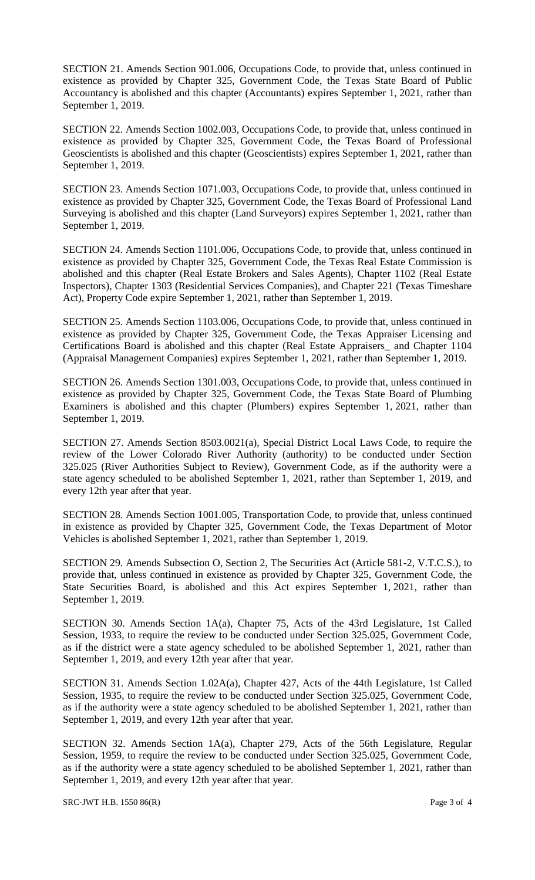SECTION 21. Amends Section 901.006, Occupations Code, to provide that, unless continued in existence as provided by Chapter 325, Government Code, the Texas State Board of Public Accountancy is abolished and this chapter (Accountants) expires September 1, 2021, rather than September 1, 2019.

SECTION 22. Amends Section 1002.003, Occupations Code, to provide that, unless continued in existence as provided by Chapter 325, Government Code, the Texas Board of Professional Geoscientists is abolished and this chapter (Geoscientists) expires September 1, 2021, rather than September 1, 2019.

SECTION 23. Amends Section 1071.003, Occupations Code, to provide that, unless continued in existence as provided by Chapter 325, Government Code, the Texas Board of Professional Land Surveying is abolished and this chapter (Land Surveyors) expires September 1, 2021, rather than September 1, 2019.

SECTION 24. Amends Section 1101.006, Occupations Code, to provide that, unless continued in existence as provided by Chapter 325, Government Code, the Texas Real Estate Commission is abolished and this chapter (Real Estate Brokers and Sales Agents), Chapter 1102 (Real Estate Inspectors), Chapter 1303 (Residential Services Companies), and Chapter 221 (Texas Timeshare Act), Property Code expire September 1, 2021, rather than September 1, 2019.

SECTION 25. Amends Section 1103.006, Occupations Code, to provide that, unless continued in existence as provided by Chapter 325, Government Code, the Texas Appraiser Licensing and Certifications Board is abolished and this chapter (Real Estate Appraisers\_ and Chapter 1104 (Appraisal Management Companies) expires September 1, 2021, rather than September 1, 2019.

SECTION 26. Amends Section 1301.003, Occupations Code, to provide that, unless continued in existence as provided by Chapter 325, Government Code, the Texas State Board of Plumbing Examiners is abolished and this chapter (Plumbers) expires September 1, 2021, rather than September 1, 2019.

SECTION 27. Amends Section 8503.0021(a), Special District Local Laws Code, to require the review of the Lower Colorado River Authority (authority) to be conducted under Section 325.025 (River Authorities Subject to Review), Government Code, as if the authority were a state agency scheduled to be abolished September 1, 2021, rather than September 1, 2019, and every 12th year after that year.

SECTION 28. Amends Section 1001.005, Transportation Code, to provide that, unless continued in existence as provided by Chapter 325, Government Code, the Texas Department of Motor Vehicles is abolished September 1, 2021, rather than September 1, 2019.

SECTION 29. Amends Subsection O, Section 2, The Securities Act (Article 581-2, V.T.C.S.), to provide that, unless continued in existence as provided by Chapter 325, Government Code, the State Securities Board, is abolished and this Act expires September 1, 2021, rather than September 1, 2019.

SECTION 30. Amends Section 1A(a), Chapter 75, Acts of the 43rd Legislature, 1st Called Session, 1933, to require the review to be conducted under Section 325.025, Government Code, as if the district were a state agency scheduled to be abolished September 1, 2021, rather than September 1, 2019, and every 12th year after that year.

SECTION 31. Amends Section 1.02A(a), Chapter 427, Acts of the 44th Legislature, 1st Called Session, 1935, to require the review to be conducted under Section 325.025, Government Code, as if the authority were a state agency scheduled to be abolished September 1, 2021, rather than September 1, 2019, and every 12th year after that year.

SECTION 32. Amends Section 1A(a), Chapter 279, Acts of the 56th Legislature, Regular Session, 1959, to require the review to be conducted under Section 325.025, Government Code, as if the authority were a state agency scheduled to be abolished September 1, 2021, rather than September 1, 2019, and every 12th year after that year.